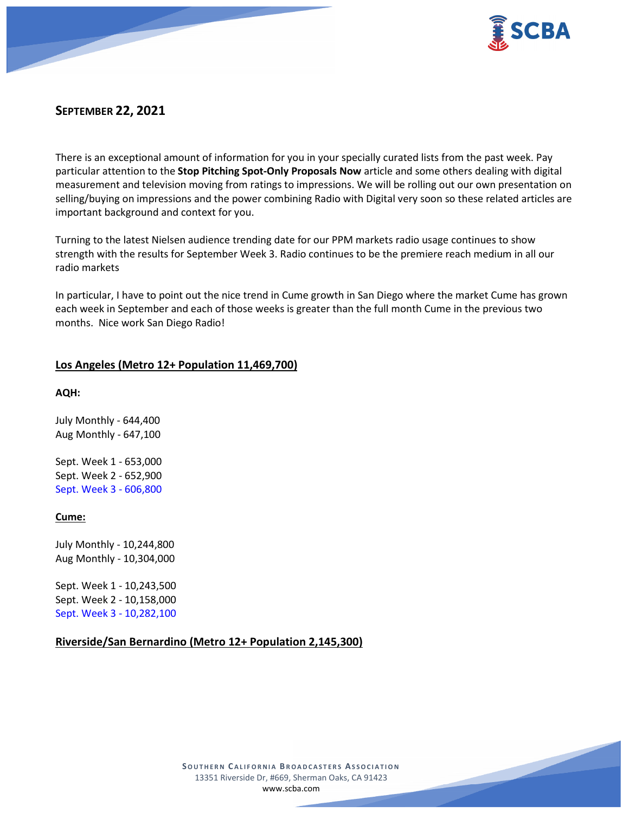

# **SEPTEMBER 22, 2021**

There is an exceptional amount of information for you in your specially curated lists from the past week. Pay particular attention to the **Stop Pitching Spot-Only Proposals Now** article and some others dealing with digital measurement and television moving from ratings to impressions. We will be rolling out our own presentation on selling/buying on impressions and the power combining Radio with Digital very soon so these related articles are important background and context for you.

Turning to the latest Nielsen audience trending date for our PPM markets radio usage continues to show strength with the results for September Week 3. Radio continues to be the premiere reach medium in all our radio markets

In particular, I have to point out the nice trend in Cume growth in San Diego where the market Cume has grown each week in September and each of those weeks is greater than the full month Cume in the previous two months. Nice work San Diego Radio!

### **Los Angeles (Metro 12+ Population 11,469,700)**

**AQH:**

July Monthly - 644,400 Aug Monthly - 647,100

Sept. Week 1 - 653,000 Sept. Week 2 - 652,900 Sept. Week 3 - 606,800

### **Cume:**

July Monthly - 10,244,800 Aug Monthly - 10,304,000

Sept. Week 1 - 10,243,500 Sept. Week 2 - 10,158,000 Sept. Week 3 - 10,282,100

### **Riverside/San Bernardino (Metro 12+ Population 2,145,300)**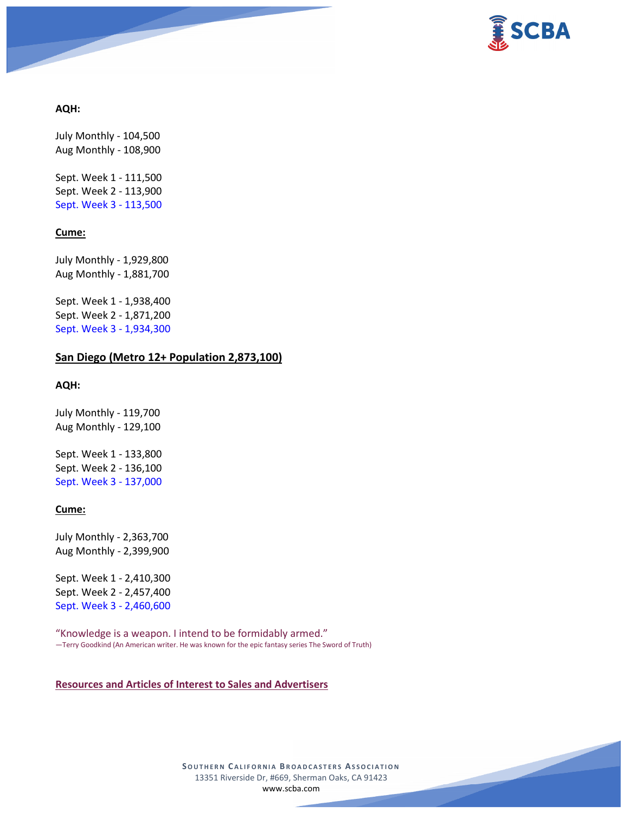

### **AQH:**

July Monthly - 104,500 Aug Monthly - 108,900

Sept. Week 1 - 111,500 Sept. Week 2 - 113,900 Sept. Week 3 - 113,500

### **Cume:**

July Monthly - 1,929,800 Aug Monthly - 1,881,700

Sept. Week 1 - 1,938,400 Sept. Week 2 - 1,871,200 Sept. Week 3 - 1,934,300

### **San Diego (Metro 12+ Population 2,873,100)**

#### **AQH:**

July Monthly - 119,700 Aug Monthly - 129,100

Sept. Week 1 - 133,800 Sept. Week 2 - 136,100 Sept. Week 3 - 137,000

### **Cume:**

July Monthly - 2,363,700 Aug Monthly - 2,399,900

Sept. Week 1 - 2,410,300 Sept. Week 2 - 2,457,400 Sept. Week 3 - 2,460,600

"Knowledge is a weapon. I intend to be formidably armed." ―Terry Goodkind (An American writer. He was known for the epic fantasy series The Sword of Truth)

### **Resources and Articles of Interest to Sales and Advertisers**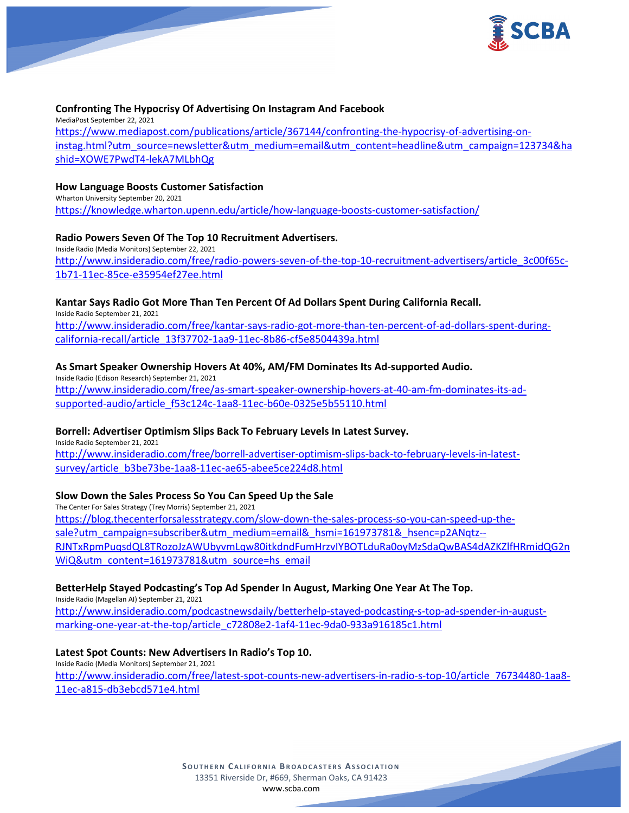

### **Confronting The Hypocrisy Of Advertising On Instagram And Facebook**

MediaPost September 22, 2021 [https://www.mediapost.com/publications/article/367144/confronting-the-hypocrisy-of-advertising-on](https://www.mediapost.com/publications/article/367144/confronting-the-hypocrisy-of-advertising-on-instag.html?utm_source=newsletter&utm_medium=email&utm_content=headline&utm_campaign=123734&hashid=XOWE7PwdT4-lekA7MLbhQg)[instag.html?utm\\_source=newsletter&utm\\_medium=email&utm\\_content=headline&utm\\_campaign=123734&ha](https://www.mediapost.com/publications/article/367144/confronting-the-hypocrisy-of-advertising-on-instag.html?utm_source=newsletter&utm_medium=email&utm_content=headline&utm_campaign=123734&hashid=XOWE7PwdT4-lekA7MLbhQg) [shid=XOWE7PwdT4-lekA7MLbhQg](https://www.mediapost.com/publications/article/367144/confronting-the-hypocrisy-of-advertising-on-instag.html?utm_source=newsletter&utm_medium=email&utm_content=headline&utm_campaign=123734&hashid=XOWE7PwdT4-lekA7MLbhQg)

#### **How Language Boosts Customer Satisfaction**

Wharton University September 20, 2021 <https://knowledge.wharton.upenn.edu/article/how-language-boosts-customer-satisfaction/>

### **Radio Powers Seven Of The Top 10 Recruitment Advertisers.**

Inside Radio (Media Monitors) September 22, 2021 [http://www.insideradio.com/free/radio-powers-seven-of-the-top-10-recruitment-advertisers/article\\_3c00f65c-](http://www.insideradio.com/free/radio-powers-seven-of-the-top-10-recruitment-advertisers/article_3c00f65c-1b71-11ec-85ce-e35954ef27ee.html)[1b71-11ec-85ce-e35954ef27ee.html](http://www.insideradio.com/free/radio-powers-seven-of-the-top-10-recruitment-advertisers/article_3c00f65c-1b71-11ec-85ce-e35954ef27ee.html)

### **Kantar Says Radio Got More Than Ten Percent Of Ad Dollars Spent During California Recall.**

Inside Radio September 21, 2021

[http://www.insideradio.com/free/kantar-says-radio-got-more-than-ten-percent-of-ad-dollars-spent-during](http://www.insideradio.com/free/kantar-says-radio-got-more-than-ten-percent-of-ad-dollars-spent-during-california-recall/article_13f37702-1aa9-11ec-8b86-cf5e8504439a.html)[california-recall/article\\_13f37702-1aa9-11ec-8b86-cf5e8504439a.html](http://www.insideradio.com/free/kantar-says-radio-got-more-than-ten-percent-of-ad-dollars-spent-during-california-recall/article_13f37702-1aa9-11ec-8b86-cf5e8504439a.html)

### **As Smart Speaker Ownership Hovers At 40%, AM/FM Dominates Its Ad-supported Audio.**

Inside Radio (Edison Research) September 21, 2021 [http://www.insideradio.com/free/as-smart-speaker-ownership-hovers-at-40-am-fm-dominates-its-ad](http://www.insideradio.com/free/as-smart-speaker-ownership-hovers-at-40-am-fm-dominates-its-ad-supported-audio/article_f53c124c-1aa8-11ec-b60e-0325e5b55110.html)[supported-audio/article\\_f53c124c-1aa8-11ec-b60e-0325e5b55110.html](http://www.insideradio.com/free/as-smart-speaker-ownership-hovers-at-40-am-fm-dominates-its-ad-supported-audio/article_f53c124c-1aa8-11ec-b60e-0325e5b55110.html)

### **Borrell: Advertiser Optimism Slips Back To February Levels In Latest Survey.**

Inside Radio September 21, 2021

[http://www.insideradio.com/free/borrell-advertiser-optimism-slips-back-to-february-levels-in-latest](http://www.insideradio.com/free/borrell-advertiser-optimism-slips-back-to-february-levels-in-latest-survey/article_b3be73be-1aa8-11ec-ae65-abee5ce224d8.html)[survey/article\\_b3be73be-1aa8-11ec-ae65-abee5ce224d8.html](http://www.insideradio.com/free/borrell-advertiser-optimism-slips-back-to-february-levels-in-latest-survey/article_b3be73be-1aa8-11ec-ae65-abee5ce224d8.html)

### **Slow Down the Sales Process So You Can Speed Up the Sale**

The Center For Sales Strategy (Trey Morris) September 21, 2021 [https://blog.thecenterforsalesstrategy.com/slow-down-the-sales-process-so-you-can-speed-up-the](https://blog.thecenterforsalesstrategy.com/slow-down-the-sales-process-so-you-can-speed-up-the-sale?utm_campaign=subscriber&utm_medium=email&_hsmi=161973781&_hsenc=p2ANqtz--RJNTxRpmPuqsdQL8TRozoJzAWUbyvmLqw80itkdndFumHrzvIYBOTLduRa0oyMzSdaQwBAS4dAZKZlfHRmidQG2nWiQ&utm_content=161973781&utm_source=hs_email)[sale?utm\\_campaign=subscriber&utm\\_medium=email&\\_hsmi=161973781&\\_hsenc=p2ANqtz--](https://blog.thecenterforsalesstrategy.com/slow-down-the-sales-process-so-you-can-speed-up-the-sale?utm_campaign=subscriber&utm_medium=email&_hsmi=161973781&_hsenc=p2ANqtz--RJNTxRpmPuqsdQL8TRozoJzAWUbyvmLqw80itkdndFumHrzvIYBOTLduRa0oyMzSdaQwBAS4dAZKZlfHRmidQG2nWiQ&utm_content=161973781&utm_source=hs_email) RJNTxRpmPuqsdQL8TRozoJzAWUbyvmLqw[80itkdndFumHrzvIYBOTLduRa0oyMzSdaQwBAS4dAZKZlfHRmidQG2n](https://blog.thecenterforsalesstrategy.com/slow-down-the-sales-process-so-you-can-speed-up-the-sale?utm_campaign=subscriber&utm_medium=email&_hsmi=161973781&_hsenc=p2ANqtz--RJNTxRpmPuqsdQL8TRozoJzAWUbyvmLqw80itkdndFumHrzvIYBOTLduRa0oyMzSdaQwBAS4dAZKZlfHRmidQG2nWiQ&utm_content=161973781&utm_source=hs_email) [WiQ&utm\\_content=161973781&utm\\_source=hs\\_email](https://blog.thecenterforsalesstrategy.com/slow-down-the-sales-process-so-you-can-speed-up-the-sale?utm_campaign=subscriber&utm_medium=email&_hsmi=161973781&_hsenc=p2ANqtz--RJNTxRpmPuqsdQL8TRozoJzAWUbyvmLqw80itkdndFumHrzvIYBOTLduRa0oyMzSdaQwBAS4dAZKZlfHRmidQG2nWiQ&utm_content=161973781&utm_source=hs_email)

### **BetterHelp Stayed Podcasting's Top Ad Spender In August, Marking One Year At The Top.**

Inside Radio (Magellan AI) September 21, 2021

[http://www.insideradio.com/podcastnewsdaily/betterhelp-stayed-podcasting-s-top-ad-spender-in-august](http://www.insideradio.com/podcastnewsdaily/betterhelp-stayed-podcasting-s-top-ad-spender-in-august-marking-one-year-at-the-top/article_c72808e2-1af4-11ec-9da0-933a916185c1.html)[marking-one-year-at-the-top/article\\_c72808e2-1af4-11ec-9da0-933a916185c1.html](http://www.insideradio.com/podcastnewsdaily/betterhelp-stayed-podcasting-s-top-ad-spender-in-august-marking-one-year-at-the-top/article_c72808e2-1af4-11ec-9da0-933a916185c1.html)

### **Latest Spot Counts: New Advertisers In Radio's Top 10.**

Inside Radio (Media Monitors) September 21, 2021 [http://www.insideradio.com/free/latest-spot-counts-new-advertisers-in-radio-s-top-10/article\\_76734480-1aa8-](http://www.insideradio.com/free/latest-spot-counts-new-advertisers-in-radio-s-top-10/article_76734480-1aa8-11ec-a815-db3ebcd571e4.html) [11ec-a815-db3ebcd571e4.html](http://www.insideradio.com/free/latest-spot-counts-new-advertisers-in-radio-s-top-10/article_76734480-1aa8-11ec-a815-db3ebcd571e4.html)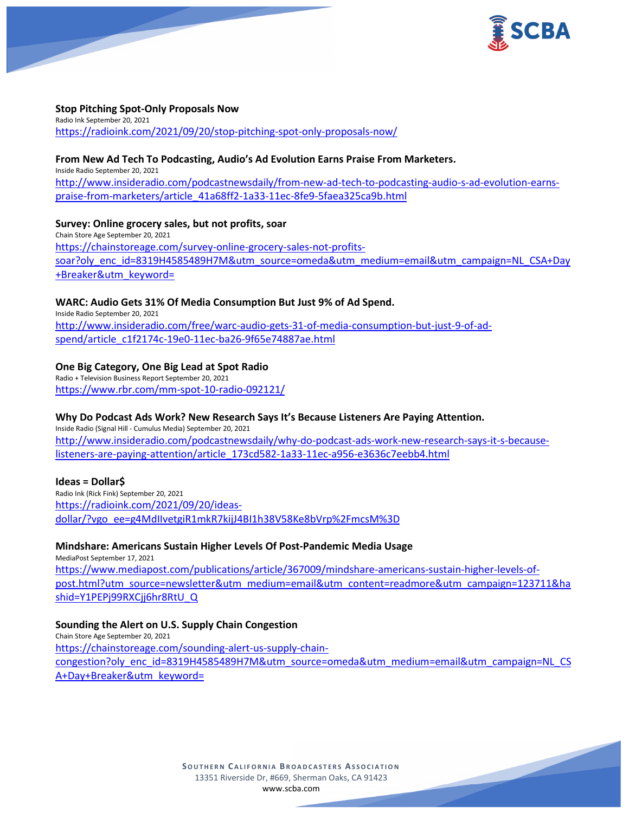

### **Stop Pitching Spot-Only Proposals Now**

Radio Ink September 20, 2021 <https://radioink.com/2021/09/20/stop-pitching-spot-only-proposals-now/>

### **From New Ad Tech To Podcasting, Audio's Ad Evolution Earns Praise From Marketers.**

Inside Radio September 20, 2021 [http://www.insideradio.com/podcastnewsdaily/from-new-ad-tech-to-podcasting-audio-s-ad-evolution-earns](http://www.insideradio.com/podcastnewsdaily/from-new-ad-tech-to-podcasting-audio-s-ad-evolution-earns-praise-from-marketers/article_41a68ff2-1a33-11ec-8fe9-5faea325ca9b.html)[praise-from-marketers/article\\_41a68ff2-1a33-11ec-8fe9-5faea325ca9b.html](http://www.insideradio.com/podcastnewsdaily/from-new-ad-tech-to-podcasting-audio-s-ad-evolution-earns-praise-from-marketers/article_41a68ff2-1a33-11ec-8fe9-5faea325ca9b.html)

### **Survey: Online grocery sales, but not profits, soar**

Chain Store Age September 20, 2021 [https://chainstoreage.com/survey-online-grocery-sales-not-profits](https://chainstoreage.com/survey-online-grocery-sales-not-profits-soar?oly_enc_id=8319H4585489H7M&utm_source=omeda&utm_medium=email&utm_campaign=NL_CSA+Day+Breaker&utm_keyword=)[soar?oly\\_enc\\_id=8319H4585489H7M&utm\\_source=omeda&utm\\_medium=email&utm\\_campaign=NL\\_CSA+Day](https://chainstoreage.com/survey-online-grocery-sales-not-profits-soar?oly_enc_id=8319H4585489H7M&utm_source=omeda&utm_medium=email&utm_campaign=NL_CSA+Day+Breaker&utm_keyword=) [+Breaker&utm\\_keyword=](https://chainstoreage.com/survey-online-grocery-sales-not-profits-soar?oly_enc_id=8319H4585489H7M&utm_source=omeda&utm_medium=email&utm_campaign=NL_CSA+Day+Breaker&utm_keyword=)

### **WARC: Audio Gets 31% Of Media Consumption But Just 9% of Ad Spend.**

Inside Radio September 20, 2021 [http://www.insideradio.com/free/warc-audio-gets-31-of-media-consumption-but-just-9-of-ad](http://www.insideradio.com/free/warc-audio-gets-31-of-media-consumption-but-just-9-of-ad-spend/article_c1f2174c-19e0-11ec-ba26-9f65e74887ae.html)[spend/article\\_c1f2174c-19e0-11ec-ba26-9f65e74887ae.html](http://www.insideradio.com/free/warc-audio-gets-31-of-media-consumption-but-just-9-of-ad-spend/article_c1f2174c-19e0-11ec-ba26-9f65e74887ae.html)

### **One Big Category, One Big Lead at Spot Radio**

Radio + Television Business Report September 20, 2021 <https://www.rbr.com/mm-spot-10-radio-092121/>

### **Why Do Podcast Ads Work? New Research Says It's Because Listeners Are Paying Attention.**

Inside Radio (Signal Hill - Cumulus Media) September 20, 2021 [http://www.insideradio.com/podcastnewsdaily/why-do-podcast-ads-work-new-research-says-it-s-because](http://www.insideradio.com/podcastnewsdaily/why-do-podcast-ads-work-new-research-says-it-s-because-listeners-are-paying-attention/article_173cd582-1a33-11ec-a956-e3636c7eebb4.html)[listeners-are-paying-attention/article\\_173cd582-1a33-11ec-a956-e3636c7eebb4.html](http://www.insideradio.com/podcastnewsdaily/why-do-podcast-ads-work-new-research-says-it-s-because-listeners-are-paying-attention/article_173cd582-1a33-11ec-a956-e3636c7eebb4.html)

### **Ideas = Dollar\$**

Radio Ink (Rick Fink) September 20, 2021 [https://radioink.com/2021/09/20/ideas](https://radioink.com/2021/09/20/ideas-dollar/?vgo_ee=g4MdIIvetgiR1mkR7kijJ4BI1h38V58Ke8bVrp%2FmcsM%3D)[dollar/?vgo\\_ee=g4MdIIvetgiR1mkR7kijJ4BI1h38V58Ke8bVrp%2FmcsM%3D](https://radioink.com/2021/09/20/ideas-dollar/?vgo_ee=g4MdIIvetgiR1mkR7kijJ4BI1h38V58Ke8bVrp%2FmcsM%3D)

### **Mindshare: Americans Sustain Higher Levels Of Post-Pandemic Media Usage**

MediaPost September 17, 2021 [https://www.mediapost.com/publications/article/367009/mindshare-americans-sustain-higher-levels-of](https://www.mediapost.com/publications/article/367009/mindshare-americans-sustain-higher-levels-of-post.html?utm_source=newsletter&utm_medium=email&utm_content=readmore&utm_campaign=123711&hashid=Y1PEPj99RXCjj6hr8RtU_Q)[post.html?utm\\_source=newsletter&utm\\_medium=email&utm\\_content=readmore&utm\\_campaign=123711&ha](https://www.mediapost.com/publications/article/367009/mindshare-americans-sustain-higher-levels-of-post.html?utm_source=newsletter&utm_medium=email&utm_content=readmore&utm_campaign=123711&hashid=Y1PEPj99RXCjj6hr8RtU_Q) [shid=Y1PEPj99RXCjj6hr8RtU\\_Q](https://www.mediapost.com/publications/article/367009/mindshare-americans-sustain-higher-levels-of-post.html?utm_source=newsletter&utm_medium=email&utm_content=readmore&utm_campaign=123711&hashid=Y1PEPj99RXCjj6hr8RtU_Q)

### **Sounding the Alert on U.S. Supply Chain Congestion**

Chain Store Age September 20, 2021 [https://chainstoreage.com/sounding-alert-us-supply-chain](https://chainstoreage.com/sounding-alert-us-supply-chain-congestion?oly_enc_id=8319H4585489H7M&utm_source=omeda&utm_medium=email&utm_campaign=NL_CSA+Day+Breaker&utm_keyword=)[congestion?oly\\_enc\\_id=8319H4585489H7M&utm\\_source=omeda&utm\\_medium=email&utm\\_campaign=NL\\_CS](https://chainstoreage.com/sounding-alert-us-supply-chain-congestion?oly_enc_id=8319H4585489H7M&utm_source=omeda&utm_medium=email&utm_campaign=NL_CSA+Day+Breaker&utm_keyword=) [A+Day+Breaker&utm\\_keyword=](https://chainstoreage.com/sounding-alert-us-supply-chain-congestion?oly_enc_id=8319H4585489H7M&utm_source=omeda&utm_medium=email&utm_campaign=NL_CSA+Day+Breaker&utm_keyword=)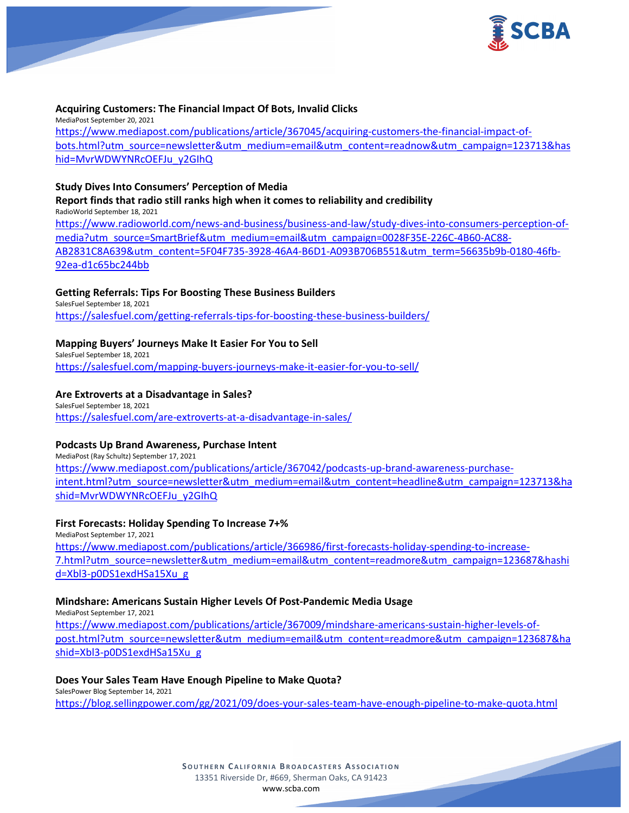

### **Acquiring Customers: The Financial Impact Of Bots, Invalid Clicks**

MediaPost September 20, 2021 [https://www.mediapost.com/publications/article/367045/acquiring-customers-the-financial-impact-of](https://www.mediapost.com/publications/article/367045/acquiring-customers-the-financial-impact-of-bots.html?utm_source=newsletter&utm_medium=email&utm_content=readnow&utm_campaign=123713&hashid=MvrWDWYNRcOEFJu_y2GIhQ)[bots.html?utm\\_source=newsletter&utm\\_medium=email&utm\\_content=readnow&utm\\_campaign=123713&has](https://www.mediapost.com/publications/article/367045/acquiring-customers-the-financial-impact-of-bots.html?utm_source=newsletter&utm_medium=email&utm_content=readnow&utm_campaign=123713&hashid=MvrWDWYNRcOEFJu_y2GIhQ) [hid=MvrWDWYNRcOEFJu\\_y2GIhQ](https://www.mediapost.com/publications/article/367045/acquiring-customers-the-financial-impact-of-bots.html?utm_source=newsletter&utm_medium=email&utm_content=readnow&utm_campaign=123713&hashid=MvrWDWYNRcOEFJu_y2GIhQ)

### **Study Dives Into Consumers' Perception of Media**

**Report finds that radio still ranks high when it comes to reliability and credibility** RadioWorld September 18, 2021

[https://www.radioworld.com/news-and-business/business-and-law/study-dives-into-consumers-perception-of](https://www.radioworld.com/news-and-business/business-and-law/study-dives-into-consumers-perception-of-media?utm_source=SmartBrief&utm_medium=email&utm_campaign=0028F35E-226C-4B60-AC88-AB2831C8A639&utm_content=5F04F735-3928-46A4-B6D1-A093B706B551&utm_term=56635b9b-0180-46fb-92ea-d1c65bc244bb)[media?utm\\_source=SmartBrief&utm\\_medium=email&utm\\_campaign=0028F35E-226C-4B60-AC88-](https://www.radioworld.com/news-and-business/business-and-law/study-dives-into-consumers-perception-of-media?utm_source=SmartBrief&utm_medium=email&utm_campaign=0028F35E-226C-4B60-AC88-AB2831C8A639&utm_content=5F04F735-3928-46A4-B6D1-A093B706B551&utm_term=56635b9b-0180-46fb-92ea-d1c65bc244bb) [AB2831C8A639&utm\\_content=5F04F735-3928-46A4-B6D1-A093B706B551&utm\\_term=56635b9b-0180-46fb-](https://www.radioworld.com/news-and-business/business-and-law/study-dives-into-consumers-perception-of-media?utm_source=SmartBrief&utm_medium=email&utm_campaign=0028F35E-226C-4B60-AC88-AB2831C8A639&utm_content=5F04F735-3928-46A4-B6D1-A093B706B551&utm_term=56635b9b-0180-46fb-92ea-d1c65bc244bb)[92ea-d1c65bc244bb](https://www.radioworld.com/news-and-business/business-and-law/study-dives-into-consumers-perception-of-media?utm_source=SmartBrief&utm_medium=email&utm_campaign=0028F35E-226C-4B60-AC88-AB2831C8A639&utm_content=5F04F735-3928-46A4-B6D1-A093B706B551&utm_term=56635b9b-0180-46fb-92ea-d1c65bc244bb)

### **Getting Referrals: Tips For Boosting These Business Builders**

SalesFuel September 18, 2021 <https://salesfuel.com/getting-referrals-tips-for-boosting-these-business-builders/>

### **Mapping Buyers' Journeys Make It Easier For You to Sell**

SalesFuel September 18, 2021 <https://salesfuel.com/mapping-buyers-journeys-make-it-easier-for-you-to-sell/>

### **Are Extroverts at a Disadvantage in Sales?**

SalesFuel September 18, 2021 <https://salesfuel.com/are-extroverts-at-a-disadvantage-in-sales/>

### **Podcasts Up Brand Awareness, Purchase Intent**

MediaPost (Ray Schultz) September 17, 2021 [https://www.mediapost.com/publications/article/367042/podcasts-up-brand-awareness-purchase](https://www.mediapost.com/publications/article/367042/podcasts-up-brand-awareness-purchase-intent.html?utm_source=newsletter&utm_medium=email&utm_content=headline&utm_campaign=123713&hashid=MvrWDWYNRcOEFJu_y2GIhQ)[intent.html?utm\\_source=newsletter&utm\\_medium=email&utm\\_content=headline&utm\\_campaign=123713&ha](https://www.mediapost.com/publications/article/367042/podcasts-up-brand-awareness-purchase-intent.html?utm_source=newsletter&utm_medium=email&utm_content=headline&utm_campaign=123713&hashid=MvrWDWYNRcOEFJu_y2GIhQ) [shid=MvrWDWYNRcOEFJu\\_y2GIhQ](https://www.mediapost.com/publications/article/367042/podcasts-up-brand-awareness-purchase-intent.html?utm_source=newsletter&utm_medium=email&utm_content=headline&utm_campaign=123713&hashid=MvrWDWYNRcOEFJu_y2GIhQ)

### **First Forecasts: Holiday Spending To Increase 7+%**

MediaPost September 17, 2021 [https://www.mediapost.com/publications/article/366986/first-forecasts-holiday-spending-to-increase-](https://www.mediapost.com/publications/article/366986/first-forecasts-holiday-spending-to-increase-7.html?utm_source=newsletter&utm_medium=email&utm_content=readmore&utm_campaign=123687&hashid=Xbl3-p0DS1exdHSa15Xu_g)[7.html?utm\\_source=newsletter&utm\\_medium=email&utm\\_content=readmore&utm\\_campaign=123687&hashi](https://www.mediapost.com/publications/article/366986/first-forecasts-holiday-spending-to-increase-7.html?utm_source=newsletter&utm_medium=email&utm_content=readmore&utm_campaign=123687&hashid=Xbl3-p0DS1exdHSa15Xu_g) [d=Xbl3-p0DS1exdHSa15Xu\\_g](https://www.mediapost.com/publications/article/366986/first-forecasts-holiday-spending-to-increase-7.html?utm_source=newsletter&utm_medium=email&utm_content=readmore&utm_campaign=123687&hashid=Xbl3-p0DS1exdHSa15Xu_g)

### **Mindshare: Americans Sustain Higher Levels Of Post-Pandemic Media Usage**

MediaPost September 17, 2021 [https://www.mediapost.com/publications/article/367009/mindshare-americans-sustain-higher-levels-of](https://www.mediapost.com/publications/article/367009/mindshare-americans-sustain-higher-levels-of-post.html?utm_source=newsletter&utm_medium=email&utm_content=readmore&utm_campaign=123687&hashid=Xbl3-p0DS1exdHSa15Xu_g)[post.html?utm\\_source=newsletter&utm\\_medium=email&utm\\_content=readmore&utm\\_campaign=123687&ha](https://www.mediapost.com/publications/article/367009/mindshare-americans-sustain-higher-levels-of-post.html?utm_source=newsletter&utm_medium=email&utm_content=readmore&utm_campaign=123687&hashid=Xbl3-p0DS1exdHSa15Xu_g) [shid=Xbl3-p0DS1exdHSa15Xu\\_g](https://www.mediapost.com/publications/article/367009/mindshare-americans-sustain-higher-levels-of-post.html?utm_source=newsletter&utm_medium=email&utm_content=readmore&utm_campaign=123687&hashid=Xbl3-p0DS1exdHSa15Xu_g)

### **Does Your Sales Team Have Enough Pipeline to Make Quota?**

SalesPower Blog September 14, 2021 <https://blog.sellingpower.com/gg/2021/09/does-your-sales-team-have-enough-pipeline-to-make-quota.html>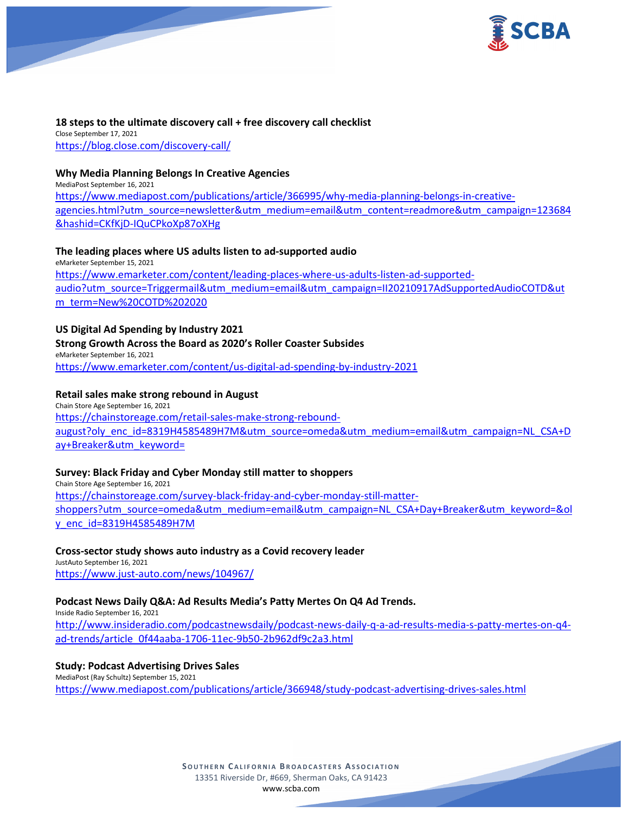

### **18 steps to the ultimate discovery call + free discovery call checklist** Close September 17, 2021 <https://blog.close.com/discovery-call/>

### **Why Media Planning Belongs In Creative Agencies**

MediaPost September 16, 2021 [https://www.mediapost.com/publications/article/366995/why-media-planning-belongs-in-creative](https://www.mediapost.com/publications/article/366995/why-media-planning-belongs-in-creative-agencies.html?utm_source=newsletter&utm_medium=email&utm_content=readmore&utm_campaign=123684&hashid=CKfKjD-IQuCPkoXp87oXHg)[agencies.html?utm\\_source=newsletter&utm\\_medium=email&utm\\_content=readmore&utm\\_campaign=123684](https://www.mediapost.com/publications/article/366995/why-media-planning-belongs-in-creative-agencies.html?utm_source=newsletter&utm_medium=email&utm_content=readmore&utm_campaign=123684&hashid=CKfKjD-IQuCPkoXp87oXHg) [&hashid=CKfKjD-IQuCPkoXp87oXHg](https://www.mediapost.com/publications/article/366995/why-media-planning-belongs-in-creative-agencies.html?utm_source=newsletter&utm_medium=email&utm_content=readmore&utm_campaign=123684&hashid=CKfKjD-IQuCPkoXp87oXHg)

### **The leading places where US adults listen to ad-supported audio**

eMarketer September 15, 2021 [https://www.emarketer.com/content/leading-places-where-us-adults-listen-ad-supported](https://www.emarketer.com/content/leading-places-where-us-adults-listen-ad-supported-audio?utm_source=Triggermail&utm_medium=email&utm_campaign=II20210917AdSupportedAudioCOTD&utm_term=New%20COTD%202020)[audio?utm\\_source=Triggermail&utm\\_medium=email&utm\\_campaign=II20210917AdSupportedAudioCOTD&ut](https://www.emarketer.com/content/leading-places-where-us-adults-listen-ad-supported-audio?utm_source=Triggermail&utm_medium=email&utm_campaign=II20210917AdSupportedAudioCOTD&utm_term=New%20COTD%202020) [m\\_term=New%20COTD%202020](https://www.emarketer.com/content/leading-places-where-us-adults-listen-ad-supported-audio?utm_source=Triggermail&utm_medium=email&utm_campaign=II20210917AdSupportedAudioCOTD&utm_term=New%20COTD%202020)

### **US Digital Ad Spending by Industry 2021**

# **Strong Growth Across the Board as 2020's Roller Coaster Subsides**

eMarketer September 16, 2021 <https://www.emarketer.com/content/us-digital-ad-spending-by-industry-2021>

### **Retail sales make strong rebound in August**

Chain Store Age September 16, 2021 [https://chainstoreage.com/retail-sales-make-strong-rebound](https://chainstoreage.com/retail-sales-make-strong-rebound-august?oly_enc_id=8319H4585489H7M&utm_source=omeda&utm_medium=email&utm_campaign=NL_CSA+Day+Breaker&utm_keyword=)[august?oly\\_enc\\_id=8319H4585489H7M&utm\\_source=omeda&utm\\_medium=email&utm\\_campaign=NL\\_CSA+D](https://chainstoreage.com/retail-sales-make-strong-rebound-august?oly_enc_id=8319H4585489H7M&utm_source=omeda&utm_medium=email&utm_campaign=NL_CSA+Day+Breaker&utm_keyword=) [ay+Breaker&utm\\_keyword=](https://chainstoreage.com/retail-sales-make-strong-rebound-august?oly_enc_id=8319H4585489H7M&utm_source=omeda&utm_medium=email&utm_campaign=NL_CSA+Day+Breaker&utm_keyword=)

### **Survey: Black Friday and Cyber Monday still matter to shoppers**

Chain Store Age September 16, 2021 [https://chainstoreage.com/survey-black-friday-and-cyber-monday-still-matter](https://chainstoreage.com/survey-black-friday-and-cyber-monday-still-matter-shoppers?utm_source=omeda&utm_medium=email&utm_campaign=NL_CSA+Day+Breaker&utm_keyword=&oly_enc_id=8319H4585489H7M)[shoppers?utm\\_source=omeda&utm\\_medium=email&utm\\_campaign=NL\\_CSA+Day+Breaker&utm\\_keyword=&ol](https://chainstoreage.com/survey-black-friday-and-cyber-monday-still-matter-shoppers?utm_source=omeda&utm_medium=email&utm_campaign=NL_CSA+Day+Breaker&utm_keyword=&oly_enc_id=8319H4585489H7M) [y\\_enc\\_id=8319H4585489H7M](https://chainstoreage.com/survey-black-friday-and-cyber-monday-still-matter-shoppers?utm_source=omeda&utm_medium=email&utm_campaign=NL_CSA+Day+Breaker&utm_keyword=&oly_enc_id=8319H4585489H7M)

# **Cross-sector study shows auto industry as a Covid recovery leader**

JustAuto September 16, 2021 <https://www.just-auto.com/news/104967/>

# **Podcast News Daily Q&A: Ad Results Media's Patty Mertes On Q4 Ad Trends.**

Inside Radio September 16, 2021

[http://www.insideradio.com/podcastnewsdaily/podcast-news-daily-q-a-ad-results-media-s-patty-mertes-on-q4](http://www.insideradio.com/podcastnewsdaily/podcast-news-daily-q-a-ad-results-media-s-patty-mertes-on-q4-ad-trends/article_0f44aaba-1706-11ec-9b50-2b962df9c2a3.html) [ad-trends/article\\_0f44aaba-1706-11ec-9b50-2b962df9c2a3.html](http://www.insideradio.com/podcastnewsdaily/podcast-news-daily-q-a-ad-results-media-s-patty-mertes-on-q4-ad-trends/article_0f44aaba-1706-11ec-9b50-2b962df9c2a3.html)

### **Study: Podcast Advertising Drives Sales**

MediaPost (Ray Schultz) September 15, 2021 <https://www.mediapost.com/publications/article/366948/study-podcast-advertising-drives-sales.html>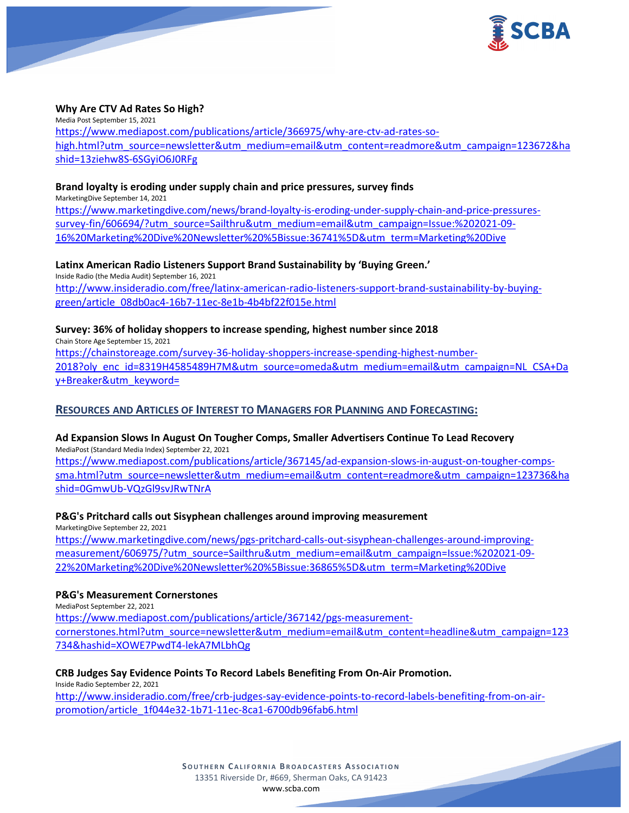

### **Why Are CTV Ad Rates So High?**

Media Post September 15, 2021 [https://www.mediapost.com/publications/article/366975/why-are-ctv-ad-rates-so](https://www.mediapost.com/publications/article/366975/why-are-ctv-ad-rates-so-high.html?utm_source=newsletter&utm_medium=email&utm_content=readmore&utm_campaign=123672&hashid=13ziehw8S-6SGyiO6J0RFg)[high.html?utm\\_source=newsletter&utm\\_medium=email&utm\\_content=readmore&utm\\_campaign=123672&ha](https://www.mediapost.com/publications/article/366975/why-are-ctv-ad-rates-so-high.html?utm_source=newsletter&utm_medium=email&utm_content=readmore&utm_campaign=123672&hashid=13ziehw8S-6SGyiO6J0RFg) [shid=13ziehw8S-](https://www.mediapost.com/publications/article/366975/why-are-ctv-ad-rates-so-high.html?utm_source=newsletter&utm_medium=email&utm_content=readmore&utm_campaign=123672&hashid=13ziehw8S-6SGyiO6J0RFg)6SGyiO6J0RFg

#### **Brand loyalty is eroding under supply chain and price pressures, survey finds**

MarketingDive September 14, 2021

[https://www.marketingdive.com/news/brand-loyalty-is-eroding-under-supply-chain-and-price-pressures](https://www.marketingdive.com/news/brand-loyalty-is-eroding-under-supply-chain-and-price-pressures-survey-fin/606694/?utm_source=Sailthru&utm_medium=email&utm_campaign=Issue:%202021-09-16%20Marketing%20Dive%20Newsletter%20%5Bissue:36741%5D&utm_term=Marketing%20Dive)[survey-fin/606694/?utm\\_source=Sailthru&utm\\_medium=email&utm\\_campaign=Issue:%202021-09-](https://www.marketingdive.com/news/brand-loyalty-is-eroding-under-supply-chain-and-price-pressures-survey-fin/606694/?utm_source=Sailthru&utm_medium=email&utm_campaign=Issue:%202021-09-16%20Marketing%20Dive%20Newsletter%20%5Bissue:36741%5D&utm_term=Marketing%20Dive) [16%20Marketing%20Dive%20Newsletter%20%5Bissue:36741%5D&utm\\_term=Marketing%20Dive](https://www.marketingdive.com/news/brand-loyalty-is-eroding-under-supply-chain-and-price-pressures-survey-fin/606694/?utm_source=Sailthru&utm_medium=email&utm_campaign=Issue:%202021-09-16%20Marketing%20Dive%20Newsletter%20%5Bissue:36741%5D&utm_term=Marketing%20Dive)

**Latinx American Radio Listeners Support Brand Sustainability by 'Buying Green.'**

Inside Radio (the Media Audit) September 16, 2021 [http://www.insideradio.com/free/latinx-american-radio-listeners-support-brand-sustainability-by-buying](http://www.insideradio.com/free/latinx-american-radio-listeners-support-brand-sustainability-by-buying-green/article_08db0ac4-16b7-11ec-8e1b-4b4bf22f015e.html)[green/article\\_08db0ac4-16b7-11ec-8e1b-4b4bf22f015e.html](http://www.insideradio.com/free/latinx-american-radio-listeners-support-brand-sustainability-by-buying-green/article_08db0ac4-16b7-11ec-8e1b-4b4bf22f015e.html)

**Survey: 36% of holiday shoppers to increase spending, highest number since 2018** Chain Store Age September 15, 2021 [https://chainstoreage.com/survey-36-holiday-shoppers-increase-spending-highest-number-](https://chainstoreage.com/survey-36-holiday-shoppers-increase-spending-highest-number-2018?oly_enc_id=8319H4585489H7M&utm_source=omeda&utm_medium=email&utm_campaign=NL_CSA+Day+Breaker&utm_keyword=)[2018?oly\\_enc\\_id=8319H4585489H7M&utm\\_source=omeda&utm\\_medium=email&utm\\_campaign=NL\\_CSA+Da](https://chainstoreage.com/survey-36-holiday-shoppers-increase-spending-highest-number-2018?oly_enc_id=8319H4585489H7M&utm_source=omeda&utm_medium=email&utm_campaign=NL_CSA+Day+Breaker&utm_keyword=) [y+Breaker&utm\\_keyword=](https://chainstoreage.com/survey-36-holiday-shoppers-increase-spending-highest-number-2018?oly_enc_id=8319H4585489H7M&utm_source=omeda&utm_medium=email&utm_campaign=NL_CSA+Day+Breaker&utm_keyword=)

### **RESOURCES AND ARTICLES OF INTEREST TO MANAGERS FOR PLANNING AND FORECASTING:**

#### **Ad Expansion Slows In August On Tougher Comps, Smaller Advertisers Continue To Lead Recovery** MediaPost (Standard Media Index) September 22, 2021

[https://www.mediapost.com/publications/article/367145/ad-expansion-slows-in-august-on-tougher-comps](https://www.mediapost.com/publications/article/367145/ad-expansion-slows-in-august-on-tougher-comps-sma.html?utm_source=newsletter&utm_medium=email&utm_content=readmore&utm_campaign=123736&hashid=0GmwUb-VQzGl9svJRwTNrA)[sma.html?utm\\_source=newsletter&utm\\_medium=email&utm\\_content=readmore&utm\\_campaign=123736&ha](https://www.mediapost.com/publications/article/367145/ad-expansion-slows-in-august-on-tougher-comps-sma.html?utm_source=newsletter&utm_medium=email&utm_content=readmore&utm_campaign=123736&hashid=0GmwUb-VQzGl9svJRwTNrA) shid=0GmwUb-[VQzGl9svJRwTNrA](https://www.mediapost.com/publications/article/367145/ad-expansion-slows-in-august-on-tougher-comps-sma.html?utm_source=newsletter&utm_medium=email&utm_content=readmore&utm_campaign=123736&hashid=0GmwUb-VQzGl9svJRwTNrA)

### **P&G's Pritchard calls out Sisyphean challenges around improving measurement**

MarketingDive September 22, 2021 [https://www.marketingdive.com/news/pgs-pritchard-calls-out-sisyphean-challenges-around-improving](https://www.marketingdive.com/news/pgs-pritchard-calls-out-sisyphean-challenges-around-improving-measurement/606975/?utm_source=Sailthru&utm_medium=email&utm_campaign=Issue:%202021-09-22%20Marketing%20Dive%20Newsletter%20%5Bissue:36865%5D&utm_term=Marketing%20Dive)[measurement/606975/?utm\\_source=Sailthru&utm\\_medium=email&utm\\_campaign=Issue:%202021-09-](https://www.marketingdive.com/news/pgs-pritchard-calls-out-sisyphean-challenges-around-improving-measurement/606975/?utm_source=Sailthru&utm_medium=email&utm_campaign=Issue:%202021-09-22%20Marketing%20Dive%20Newsletter%20%5Bissue:36865%5D&utm_term=Marketing%20Dive) [22%20Marketing%20Dive%20Newsletter%20%5Bissue:36865%5D&utm\\_term=Marketing%20Dive](https://www.marketingdive.com/news/pgs-pritchard-calls-out-sisyphean-challenges-around-improving-measurement/606975/?utm_source=Sailthru&utm_medium=email&utm_campaign=Issue:%202021-09-22%20Marketing%20Dive%20Newsletter%20%5Bissue:36865%5D&utm_term=Marketing%20Dive)

### **P&G's Measurement Cornerstones**

MediaPost September 22, 2021 [https://www.mediapost.com/publications/article/367142/pgs-measurement](https://www.mediapost.com/publications/article/367142/pgs-measurement-cornerstones.html?utm_source=newsletter&utm_medium=email&utm_content=headline&utm_campaign=123734&hashid=XOWE7PwdT4-lekA7MLbhQg)[cornerstones.html?utm\\_source=newsletter&utm\\_medium=email&utm\\_content=headline&utm\\_campaign=123](https://www.mediapost.com/publications/article/367142/pgs-measurement-cornerstones.html?utm_source=newsletter&utm_medium=email&utm_content=headline&utm_campaign=123734&hashid=XOWE7PwdT4-lekA7MLbhQg) [734&hashid=XOWE7PwdT4-lekA7MLbhQg](https://www.mediapost.com/publications/article/367142/pgs-measurement-cornerstones.html?utm_source=newsletter&utm_medium=email&utm_content=headline&utm_campaign=123734&hashid=XOWE7PwdT4-lekA7MLbhQg)

### **CRB Judges Say Evidence Points To Record Labels Benefiting From On-Air Promotion.**

Inside Radio September 22, 2021 [http://www.insideradio.com/free/crb-judges-say-evidence-points-to-record-labels-benefiting-from-on-air](http://www.insideradio.com/free/crb-judges-say-evidence-points-to-record-labels-benefiting-from-on-air-promotion/article_1f044e32-1b71-11ec-8ca1-6700db96fab6.html)[promotion/article\\_1f044e32-1b71-11ec-8ca1-6700db96fab6.html](http://www.insideradio.com/free/crb-judges-say-evidence-points-to-record-labels-benefiting-from-on-air-promotion/article_1f044e32-1b71-11ec-8ca1-6700db96fab6.html)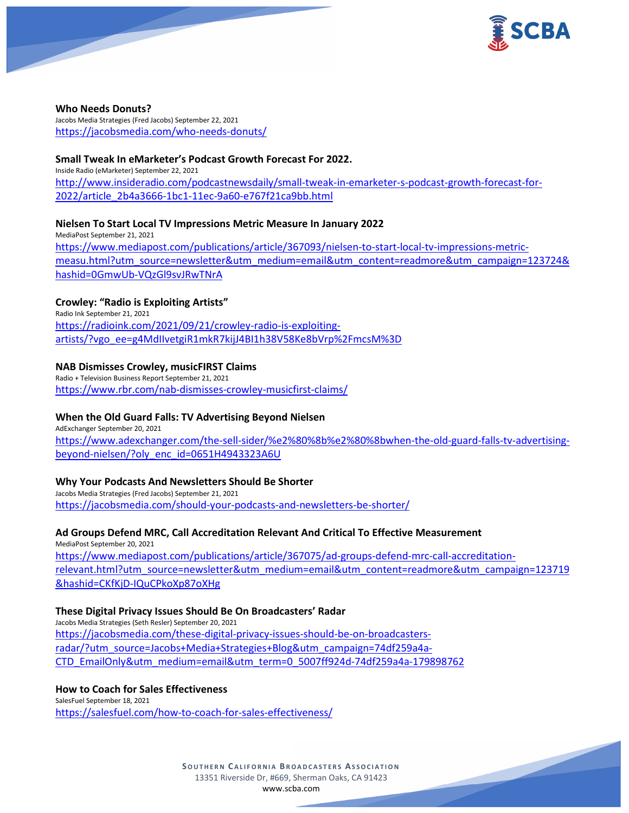

#### **Who Needs Donuts?**

Jacobs Media Strategies (Fred Jacobs) September 22, 2021 <https://jacobsmedia.com/who-needs-donuts/>

### **Small Tweak In eMarketer's Podcast Growth Forecast For 2022.**

Inside Radio (eMarketer) September 22, 2021 [http://www.insideradio.com/podcastnewsdaily/small-tweak-in-emarketer-s-podcast-growth-forecast-for-](http://www.insideradio.com/podcastnewsdaily/small-tweak-in-emarketer-s-podcast-growth-forecast-for-2022/article_2b4a3666-1bc1-11ec-9a60-e767f21ca9bb.html)[2022/article\\_2b4a3666-1bc1-11ec-9a60-e767f21ca9bb.html](http://www.insideradio.com/podcastnewsdaily/small-tweak-in-emarketer-s-podcast-growth-forecast-for-2022/article_2b4a3666-1bc1-11ec-9a60-e767f21ca9bb.html)

### **Nielsen To Start Local TV Impressions Metric Measure In January 2022**

MediaPost September 21, 2021 [https://www.mediapost.com/publications/article/367093/nielsen-to-start-local-tv-impressions-metric](https://www.mediapost.com/publications/article/367093/nielsen-to-start-local-tv-impressions-metric-measu.html?utm_source=newsletter&utm_medium=email&utm_content=readmore&utm_campaign=123724&hashid=0GmwUb-VQzGl9svJRwTNrA)[measu.html?utm\\_source=newsletter&utm\\_medium=email&utm\\_content=readmore&utm\\_campaign=123724&](https://www.mediapost.com/publications/article/367093/nielsen-to-start-local-tv-impressions-metric-measu.html?utm_source=newsletter&utm_medium=email&utm_content=readmore&utm_campaign=123724&hashid=0GmwUb-VQzGl9svJRwTNrA) hashid=0GmwUb-[VQzGl9svJRwTNrA](https://www.mediapost.com/publications/article/367093/nielsen-to-start-local-tv-impressions-metric-measu.html?utm_source=newsletter&utm_medium=email&utm_content=readmore&utm_campaign=123724&hashid=0GmwUb-VQzGl9svJRwTNrA)

### **Crowley: "Radio is Exploiting Artists"**

Radio Ink September 21, 2021 [https://radioink.com/2021/09/21/crowley-radio-is-exploiting](https://radioink.com/2021/09/21/crowley-radio-is-exploiting-artists/?vgo_ee=g4MdIIvetgiR1mkR7kijJ4BI1h38V58Ke8bVrp%2FmcsM%3D)[artists/?vgo\\_ee=g4MdIIvetgiR1mkR7kijJ4BI1h38V58Ke8bVrp%2FmcsM%3D](https://radioink.com/2021/09/21/crowley-radio-is-exploiting-artists/?vgo_ee=g4MdIIvetgiR1mkR7kijJ4BI1h38V58Ke8bVrp%2FmcsM%3D)

### **NAB Dismisses Crowley, musicFIRST Claims**

Radio + Television Business Report September 21, 2021 <https://www.rbr.com/nab-dismisses-crowley-musicfirst-claims/>

### **When the Old Guard Falls: TV Advertising Beyond Nielsen**

AdExchanger September 20, 2021 [https://www.adexchanger.com/the-sell-sider/%e2%80%8b%e2%80%8bwhen-the-old-guard-falls-tv-advertising](https://www.adexchanger.com/the-sell-sider/%e2%80%8b%e2%80%8bwhen-the-old-guard-falls-tv-advertising-beyond-nielsen/?oly_enc_id=0651H4943323A6U)[beyond-nielsen/?oly\\_enc\\_id=0651H4943323A6U](https://www.adexchanger.com/the-sell-sider/%e2%80%8b%e2%80%8bwhen-the-old-guard-falls-tv-advertising-beyond-nielsen/?oly_enc_id=0651H4943323A6U)

### **Why Your Podcasts And Newsletters Should Be Shorter**

Jacobs Media Strategies (Fred Jacobs) September 21, 2021 <https://jacobsmedia.com/should-your-podcasts-and-newsletters-be-shorter/>

### **Ad Groups Defend MRC, Call Accreditation Relevant And Critical To Effective Measurement**

MediaPost September 20, 2021 [https://www.mediapost.com/publications/article/367075/ad-groups-defend-mrc-call-accreditation](https://www.mediapost.com/publications/article/367075/ad-groups-defend-mrc-call-accreditation-relevant.html?utm_source=newsletter&utm_medium=email&utm_content=readmore&utm_campaign=123719&hashid=CKfKjD-IQuCPkoXp87oXHg)[relevant.html?utm\\_source=newsletter&utm\\_medium=email&utm\\_content=readmore&utm\\_campaign=123719](https://www.mediapost.com/publications/article/367075/ad-groups-defend-mrc-call-accreditation-relevant.html?utm_source=newsletter&utm_medium=email&utm_content=readmore&utm_campaign=123719&hashid=CKfKjD-IQuCPkoXp87oXHg) [&hashid=CKfKjD-IQuCPkoXp87oXHg](https://www.mediapost.com/publications/article/367075/ad-groups-defend-mrc-call-accreditation-relevant.html?utm_source=newsletter&utm_medium=email&utm_content=readmore&utm_campaign=123719&hashid=CKfKjD-IQuCPkoXp87oXHg)

### **These Digital Privacy Issues Should Be On Broadcasters' Radar**

Jacobs Media Strategies (Seth Resler) September 20, 2021 [https://jacobsmedia.com/these-digital-privacy-issues-should-be-on-broadcasters](https://jacobsmedia.com/these-digital-privacy-issues-should-be-on-broadcasters-radar/?utm_source=Jacobs+Media+Strategies+Blog&utm_campaign=74df259a4a-CTD_EmailOnly&utm_medium=email&utm_term=0_5007ff924d-74df259a4a-179898762)[radar/?utm\\_source=Jacobs+Media+Strategies+Blog&utm\\_campaign=74df259a4a-](https://jacobsmedia.com/these-digital-privacy-issues-should-be-on-broadcasters-radar/?utm_source=Jacobs+Media+Strategies+Blog&utm_campaign=74df259a4a-CTD_EmailOnly&utm_medium=email&utm_term=0_5007ff924d-74df259a4a-179898762)[CTD\\_EmailOnly&utm\\_medium=email&utm\\_term=0\\_5007ff924d-74df259a4a-179898762](https://jacobsmedia.com/these-digital-privacy-issues-should-be-on-broadcasters-radar/?utm_source=Jacobs+Media+Strategies+Blog&utm_campaign=74df259a4a-CTD_EmailOnly&utm_medium=email&utm_term=0_5007ff924d-74df259a4a-179898762)

### **How to Coach for Sales Effectiveness**

SalesFuel September 18, 2021 <https://salesfuel.com/how-to-coach-for-sales-effectiveness/>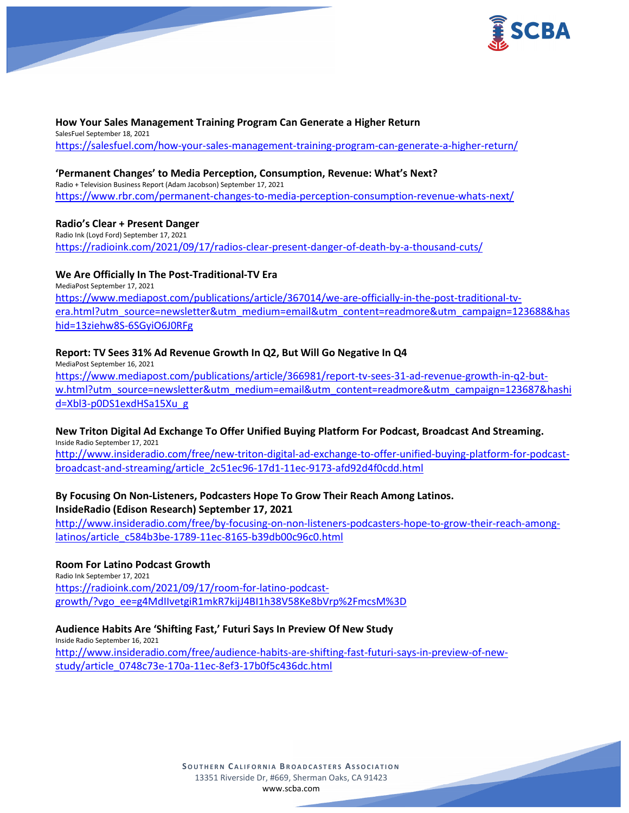

#### **How Your Sales Management Training Program Can Generate a Higher Return** SalesFuel September 18, 2021 <https://salesfuel.com/how-your-sales-management-training-program-can-generate-a-higher-return/>

### **'Permanent Changes' to Media Perception, Consumption, Revenue: What's Next?**

Radio + Television Business Report (Adam Jacobson) September 17, 2021 <https://www.rbr.com/permanent-changes-to-media-perception-consumption-revenue-whats-next/>

### **Radio's Clear + Present Danger**

Radio Ink (Loyd Ford) September 17, 2021 <https://radioink.com/2021/09/17/radios-clear-present-danger-of-death-by-a-thousand-cuts/>

### **We Are Officially In The Post-Traditional-TV Era**

MediaPost September 17, 2021 [https://www.mediapost.com/publications/article/367014/we-are-officially-in-the-post-traditional-tv](https://www.mediapost.com/publications/article/367014/we-are-officially-in-the-post-traditional-tv-era.html?utm_source=newsletter&utm_medium=email&utm_content=readmore&utm_campaign=123688&hashid=13ziehw8S-6SGyiO6J0RFg)[era.html?utm\\_source=newsletter&utm\\_medium=email&utm\\_content=readmore&utm\\_campaign=123688&has](https://www.mediapost.com/publications/article/367014/we-are-officially-in-the-post-traditional-tv-era.html?utm_source=newsletter&utm_medium=email&utm_content=readmore&utm_campaign=123688&hashid=13ziehw8S-6SGyiO6J0RFg) [hid=13ziehw8S-](https://www.mediapost.com/publications/article/367014/we-are-officially-in-the-post-traditional-tv-era.html?utm_source=newsletter&utm_medium=email&utm_content=readmore&utm_campaign=123688&hashid=13ziehw8S-6SGyiO6J0RFg)6SGyiO6J0RFg

### **Report: TV Sees 31% Ad Revenue Growth In Q2, But Will Go Negative In Q4**

MediaPost September 16, 2021 [https://www.mediapost.com/publications/article/366981/report-tv-sees-31-ad-revenue-growth-in-q2-but](https://www.mediapost.com/publications/article/366981/report-tv-sees-31-ad-revenue-growth-in-q2-but-w.html?utm_source=newsletter&utm_medium=email&utm_content=readmore&utm_campaign=123687&hashid=Xbl3-p0DS1exdHSa15Xu_g)[w.html?utm\\_source=newsletter&utm\\_medium=email&utm\\_content=readmore&utm\\_campaign=123687&hashi](https://www.mediapost.com/publications/article/366981/report-tv-sees-31-ad-revenue-growth-in-q2-but-w.html?utm_source=newsletter&utm_medium=email&utm_content=readmore&utm_campaign=123687&hashid=Xbl3-p0DS1exdHSa15Xu_g) [d=Xbl3-p0DS1exdHSa15Xu\\_g](https://www.mediapost.com/publications/article/366981/report-tv-sees-31-ad-revenue-growth-in-q2-but-w.html?utm_source=newsletter&utm_medium=email&utm_content=readmore&utm_campaign=123687&hashid=Xbl3-p0DS1exdHSa15Xu_g)

# **New Triton Digital Ad Exchange To Offer Unified Buying Platform For Podcast, Broadcast And Streaming.**

Inside Radio September 17, 2021 [http://www.insideradio.com/free/new-triton-digital-ad-exchange-to-offer-unified-buying-platform-for-podcast-](http://www.insideradio.com/free/new-triton-digital-ad-exchange-to-offer-unified-buying-platform-for-podcast-broadcast-and-streaming/article_2c51ec96-17d1-11ec-9173-afd92d4f0cdd.html)

[broadcast-and-streaming/article\\_2c51ec96-17d1-11ec-9173-afd92d4f0cdd.html](http://www.insideradio.com/free/new-triton-digital-ad-exchange-to-offer-unified-buying-platform-for-podcast-broadcast-and-streaming/article_2c51ec96-17d1-11ec-9173-afd92d4f0cdd.html)

### **By Focusing On Non-Listeners, Podcasters Hope To Grow Their Reach Among Latinos. InsideRadio (Edison Research) September 17, 2021**

[http://www.insideradio.com/free/by-focusing-on-non-listeners-podcasters-hope-to-grow-their-reach-among](http://www.insideradio.com/free/by-focusing-on-non-listeners-podcasters-hope-to-grow-their-reach-among-latinos/article_c584b3be-1789-11ec-8165-b39db00c96c0.html)[latinos/article\\_c584b3be-1789-11ec-8165-b39db00c96c0.html](http://www.insideradio.com/free/by-focusing-on-non-listeners-podcasters-hope-to-grow-their-reach-among-latinos/article_c584b3be-1789-11ec-8165-b39db00c96c0.html)

### **Room For Latino Podcast Growth**

Radio Ink September 17, 2021 [https://radioink.com/2021/09/17/room-for-latino-podcast](https://radioink.com/2021/09/17/room-for-latino-podcast-growth/?vgo_ee=g4MdIIvetgiR1mkR7kijJ4BI1h38V58Ke8bVrp%2FmcsM%3D)[growth/?vgo\\_ee=g4MdIIvetgiR1mkR7kijJ4BI1h38V58Ke8bVrp%2FmcsM%3D](https://radioink.com/2021/09/17/room-for-latino-podcast-growth/?vgo_ee=g4MdIIvetgiR1mkR7kijJ4BI1h38V58Ke8bVrp%2FmcsM%3D)

### **Audience Habits Are 'Shifting Fast,' Futuri Says In Preview Of New Study**

Inside Radio September 16, 2021 [http://www.insideradio.com/free/audience-habits-are-shifting-fast-futuri-says-in-preview-of-new](http://www.insideradio.com/free/audience-habits-are-shifting-fast-futuri-says-in-preview-of-new-study/article_0748c73e-170a-11ec-8ef3-17b0f5c436dc.html)[study/article\\_0748c73e-170a-11ec-8ef3-17b0f5c436dc.html](http://www.insideradio.com/free/audience-habits-are-shifting-fast-futuri-says-in-preview-of-new-study/article_0748c73e-170a-11ec-8ef3-17b0f5c436dc.html)